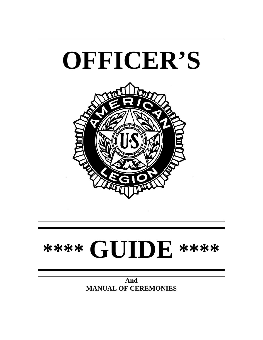

# **\*\*\*\* GUIDE \*\*\*\***

**And MANUAL OF CEREMONIES**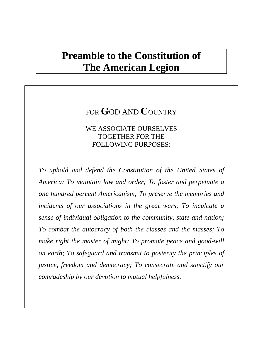# **Preamble to the Constitution of The American Legion**

# FOR **G**OD AND **C**OUNTRY

## WE ASSOCIATE OURSELVES TOGETHER FOR THE FOLLOWING PURPOSES:

*To uphold and defend the Constitution of the United States of America; To maintain law and order; To foster and perpetuate a one hundred percent Americanism; To preserve the memories and incidents of our associations in the great wars; To inculcate a sense of individual obligation to the community, state and nation; To combat the autocracy of both the classes and the masses; To make right the master of might; To promote peace and good-will on earth; To safeguard and transmit to posterity the principles of justice, freedom and democracy; To consecrate and sanctify our comradeship by our devotion to mutual helpfulness.*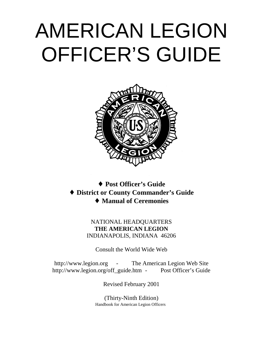# AMERICAN LEGION OFFICER'S GUIDE



♦ **Post Officer's Guide** ♦ **District or County Commander's Guide** ♦ **Manual of Ceremonies**

## NATIONAL HEADQUARTERS **THE AMERICAN LEGION** INDIANAPOLIS, INDIANA 46206

Consult the World Wide Web

http://www.legion.org - The American Legion Web Site http://www.legion.org/off\_guide.htm - Post Officer's Guide

Revised February 2001

(Thirty-Ninth Edition) Handbook for American Legion Officers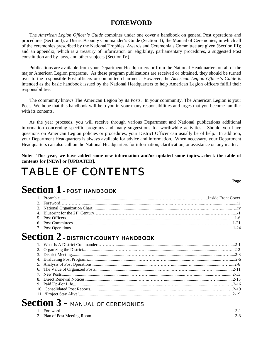## **FOREWORD**

The *American Legion Officer's Guide* combines under one cover a handbook on general Post operations and procedures (Section I); a District/County Commander's Guide (Section II); the Manual of Ceremonies, in which all of the ceremonies prescribed by the National Trophies, Awards and Ceremonials Committee are given (Section III); and an appendix, which is a treasury of information on eligibility, parliamentary procedures, a suggested Post constitution and by-laws, and other subjects (Section IV).

Publications are available from your Department Headquarters or from the National Headquarters on all of the major American Legion programs. As these program publications are received or obtained, they should be turned over to the responsible Post officers or committee chairmen. However, the *American Legion Officer's Guide* is intended as the basic handbook issued by the National Headquarters to help American Legion officers fulfill their responsibilities.

The community knows The American Legion by its Posts. In your community, The American Legion is your Post. We hope that this handbook will help you in your many responsibilities and urges that you become familiar with its contents.

As the year proceeds, you will receive through various Department and National publications additional information concerning specific programs and many suggestions for worthwhile activities. Should you have questions on American Legion policies or procedures, your District Officer can usually be of help. In addition, your Department Headquarters is always available for advice and information. When necessary, your Department Headquarters can also call on the National Headquarters for information, clarification, or assistance on any matter.

**Note: This year, we have added some new information and/or updated some topics…check the table of contents for [NEW] or [UPDATED].**

# TABLE OF CONTENTS

**Page**

# **Section 1 - POST HANDBOOK**

# **Section 2 - DISTRICT/COUNTY HANDBOOK**

# **Section 3 -** MANUAL OF CEREMONIES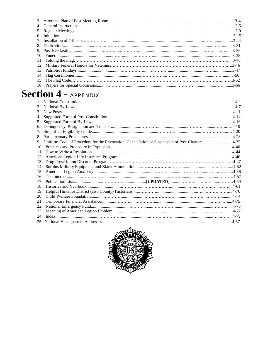# **Section 4 - APPENDIX**

| 2.                                                                                                  |  |
|-----------------------------------------------------------------------------------------------------|--|
| $3_{-}$                                                                                             |  |
| 4.                                                                                                  |  |
| 5.                                                                                                  |  |
| 6.                                                                                                  |  |
| 7.                                                                                                  |  |
| 8.                                                                                                  |  |
| Uniform Code of Procedure for the Revocation, Cancellation or Suspension of Post Charters4-35<br>9. |  |
| 10.                                                                                                 |  |
| 11.                                                                                                 |  |
|                                                                                                     |  |
| 13.                                                                                                 |  |
|                                                                                                     |  |
|                                                                                                     |  |
| 16.                                                                                                 |  |
| 17                                                                                                  |  |
| 18.                                                                                                 |  |
| 19.                                                                                                 |  |
| 20.                                                                                                 |  |
| 21.                                                                                                 |  |
| 22.                                                                                                 |  |
| 23.                                                                                                 |  |
|                                                                                                     |  |
|                                                                                                     |  |

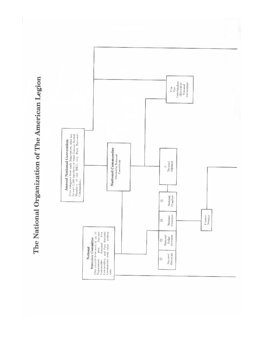The National Organization of The American Legion

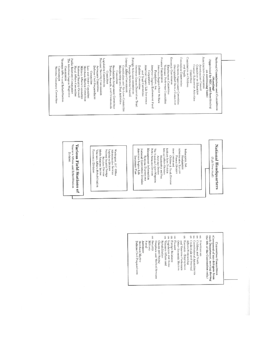Americanism Commission Commission on Children Economic Commission Convention Commission National Commissions and Committees Legislative Commission<br>National Security Commission Forcign Relations commission<br>Forcign Relations Council Finance Commission Internal Affairs Commission Public Relations Commission Vecerans Affairs and Rehabilitation The American Legion Magezine (Appointed by NEC, and functioning Contests Supervisory Committee<br>Districtuished Grussis Committee and Youth Committoe an Education<br>Counter-Subversive Aritorities Oversees Graves Dozorntion Trust American Legion Life Insurance. American Legion Endowment Fund American Legion Child Welfare Veterans' Preference Committee Employment Committee Americanism Conneil Membership and Post Activities Emblem Contraitee Commission National Security Council<br>Naval Affairs (2nmmittee **Mittary Affairs Committee** Merchant Marine Committee Law and Order Committee Defense (Swil Preparednoss Aerospace Committee Trophics, Awards, and Crimmonials Resolutions Assignment Committee Canstitution and By-Laws Committee National Cemetery Committee Contribation on continuing basis) Corporation Committee Committee (burning) and Trust Committee Foundation, Inc. Conntrittoe (Standing)



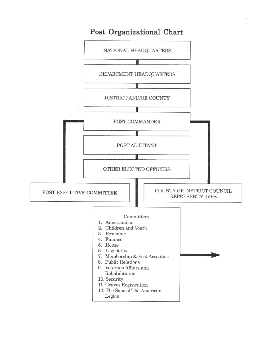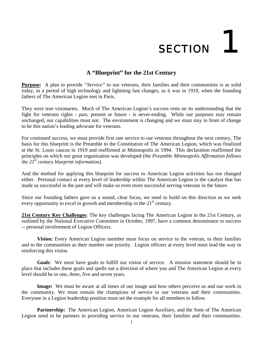# **SECTION**

## **A "Blueprint" for the 21st Century**

**Purpose:** A plan to provide "Service" to our veterans, their families and their communities is as solid today, in a period of high technology and lightning fast changes, as it was in 1919, when the founding fathers of The American Legion met in Paris.

They were true visionaries. Much of The American Legion's success rests on its understanding that the fight for veterans rights - past, present or future - is never-ending. While our purposes may remain unchanged, our capabilities must not. The environment is changing and we must stay in front of change to be this nation's leading advocate for veterans.

For continued success, we must provide first rate service to our veterans throughout the next century, The basis for this blueprint is the Preamble to the Constitution of The American Legion, which was finalized at the St. Louis caucus in 1919 and reaffirmed at Minneapolis in 1994. This declaration reaffirmed the principles on which our great organization was developed *(the Preamble Minneapolis Affirmation follows the 21st century blueprint information).*

And the method for applying this blueprint for success to American Legion activities has not changed either. Personal contact at every level of leadership within The American Legion is the catalyst that has made us successful in the past and will make us even more successful serving veterans in the future.

Since our founding fathers gave us a sound, clear focus, we need to build on this direction as we seek every opportunity to excel in growth and membership in the 21<sup>st</sup> century.

**21st Century Key Challenges**: The key challenges facing The American Legion in the 21st Century, as outlined by the National Executive Committee in October, 1997, have a common denominator to success -- personal involvement of Legion Officers.

**Vision:** Every American Legion member must focus on service to the veteran, to their families and to the communities as their number one priority. Legion officers at every level must lead the way in reinforcing this vision.

**Goals**: We must have goals to fulfill our vision of service. A mission statement should be in place that includes these goals and spells out a direction of where you and The American Legion at every level should be in one, three, five and seven years.

**Image:** We must be aware at all times of our image and how others perceive us and our work in the community. We must remain the champions of service to our veterans and their communities. Everyone in a Legion leadership position must set the example for all members to follow.

**Partnership:** The American Legion, American Legion Auxiliary, and the Sons of The American Legion need to be partners in providing service to our veterans, their families and their communities.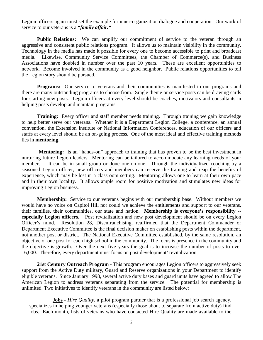Legion officers again must set the example for inner-organization dialogue and cooperation. Our work of service to our veterans is a *"family affair."*

**Public Relations:** We can amplify our commitment of service to the veteran through an aggressive and consistent public relations program. It allows us to maintain visibility in the community. Technology in the media has made it possible for every one to become accessible to print and broadcast media. Likewise, Community Service Committees, the Chamber of Commerce(s), and Business Associations have doubled in number over the past 10 years. These are excellent opportunities to network. Become involved in the community as a good neighbor. Public relations opportunities to tell the Legion story should be pursued.

**Programs:** Our service to veterans and their communities is manifested in our programs and there are many outstanding programs to choose from. Single theme or service posts can be drawing cards for starting new posts. Legion officers at every level should be coaches, motivators and consultants in helping posts develop and maintain programs.

**Training:** Every officer and staff member needs training. Through training we gain knowledge to help better serve our veterans. Whether it is a Department Legion College, a conference, an annual convention, the Extension Institute or National Information Conferences, education of our officers and staffs at every level should be an on-going process. One of the most ideal and effective training methods lies in **mentoring.**

**Mentoring:** Is an "hands-on" approach to training that has proven to be the best investment in nurturing future Legion leaders. Mentoring can be tailored to accommodate any learning needs of your members. It can be in small group or done one-on-one. Through the individualized coaching by a seasoned Legion officer, new officers and members can receive the training and reap the benefits of experience, which may be lost in a classroom setting. Mentoring allows one to learn at their own pace and in their own locality. It allows ample room for positive motivation and stimulates new ideas for improving Legion business.

**Membership:** Service to our veterans begins with our membership base. Without members we would have no voice on Capitol Hill nor could we achieve the entitlements and support to our veterans, their families, their communities, our state and nation. **Membership is everyone's responsibility - especially Legion officers.** Post revitalization and new post development should be on every Legion Officer's mind. Resolution 28, Disenfranchising, reaffirmed that the Department Commander or Department Executive Committee is the final decision maker on establishing posts within the department, not another post or district. The National Executive Committee established, by the same resolution, an objective of one post for each high school in the community. The focus is presence in the community and the objective is growth. Over the next five years the goal is to increase the number of posts to over 16,000. Therefore, every department must focus on post development/ revitalization

**21st Century Outreach Program** - This program encourages Legion officers to aggressively seek support from the Active Duty military, Guard and Reserve organizations in your Department to identify eligible veterans. Since January 1998, several active duty bases and guard units have agreed to allow The American Legion to address veterans separating from the service. The potential for membership is unlimited. Two initiatives to identify veterans in the community are listed below:

**Jobs -** *Hire Quality*, a pilot program partner that is a professional job search agency, specializes in helping younger veterans (especially those about to separate from active duty) find jobs. Each month, lists of veterans who have contacted Hire Quality are made available to the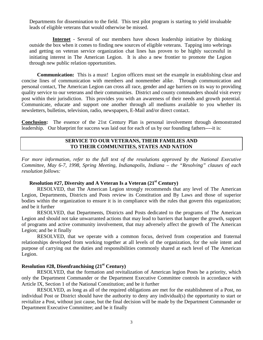Departments for dissemination to the field. This test pilot program is starting to yield invaluable leads of eligible veterans that would otherwise be missed.

**Internet** - Several of our members have shown leadership initiative by thinking outside the box when it comes to finding new sources of eligible veterans. Tapping into webrings and getting on veteran service organization chat lines has proven to be highly successful in initiating interest in The American Legion. It is also a new frontier to promote the Legion through new public relation opportunities.

**Communication:** This is a must! Legion officers must set the example in establishing clear and concise lines of communication with members and nonmember alike. Through communication and personal contact, The American Legion can cross all race, gender and age barriers on its way to providing quality service to our veterans and their communities. District and county commanders should visit every post within their jurisdiction. This provides you with an awareness of their needs and growth potential. Communicate, educate and support one another through all mediums available to you whether its newsletters, bulletins, television, radio, newspapers, E-Mail and/or direct contact.

**Conclusion:** The essence of the 21st Century Plan is personal involvement through demonstrated leadership. Our blueprint for success was laid out for each of us by our founding fathers----it is:

## **SERVICE TO OUR VETERANS, THEIR FAMILIES AND TO THEIR COMMUNITIES, STATES AND NATION**

*For more information, refer to the full text of the resolutions approved by the National Executive Committee, May 6-7, 1998, Spring Meeting, Indianapolis, Indiana – the "Resolving" clauses of each resolution follows:*

## **Resolution #27, Diversity and A Veteran Is a Veteran (21<sup>st</sup> Century)**

RESOLVED, that The American Legion strongly recommends that any level of The American Legion, Departments, Districts and Posts review its Constitution and By Laws and those of superior bodies within the organization to ensure it is in compliance with the rules that govern this organization; and be it further

RESOLVED, that Departments, Districts and Posts dedicated to the programs of The American Legion and should not take unwarranted actions that may lead to barriers that hamper the growth, support of programs and active community involvement, that may adversely affect the growth of The American Legion; and be it finally

RESOLVED, that we operate with a common focus, derived from cooperation and fraternal relationships developed from working together at all levels of the organization, for the sole intent and purpose of carrying out the duties and responsibilities commonly shared at each level of The American Legion.

## **Resolution #28, Disenfranchising (21st Century)**

RESOLVED, that the formation and revitalization of American legion Posts be a priority, which only the Department Commander or the Department Executive Committee controls in accordance with Article IX, Section 1 of the National Constitution; and be it further

RESOLVED, as long as all of the required obligations are met for the establishment of a Post, no individual Post or District should have the authority to deny any individual(s) the opportunity to start or revitalize a Post, without just cause, but the final decision will be made by the Department Commander or Department Executive Committee; and be it finally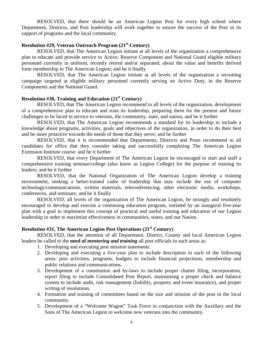RESOLVED, that there should be an American Legion Post for every high school where Department, Districts, and Post leadership will work together to ensure the success of the Post in its support of programs and the local community.

## **Resolution #29, Veteran Outreach Program (21st Century)**

RESOLVED, that The American Legion initiate at all levels of the organization a comprehensive plan to educate and provide service to Active, Reserve Component and National Guard eligible military personnel currently in uniform, recently retired and/or separated, about the value and benefits derived form membership in The American Legion; and be it finally

RESOLVED, that The American Legion initiate at all levels of the organization a recruiting campaign targeted at eligible military personnel currently serving on Active Duty, in the Reserve Components and the National Guard.

## **Resolution #30, Training and Education (21st Century)**

RESOLVED, that The American Legion recommend to all levels of the organization, development of a comprehensive plan to educate and train its leadership, preparing them for the present and future challenges to be faced in service to veterans, the community, state, and nation, and be it further

RESOLVED, that The American Legion recommends a standard for its leadership to include a knowledge about programs, activities, goals and objectives of the organization, in order to do their best and be more proactive towards the needs of those that they serve; and be further

RESOLVED, that it is recommended that Departments, Districts and Posts recommend to all candidates for office that they consider taking and successfully completing The American Legion Extension Institute course: and be it further

RESOLVED, that every Department of The American Legion be encouraged to start and staff a comprehensive training seminar/college (also know as Legion College) for the purpose of training its leaders; and be it further

RESOLVED, that the National Organization of The American Legion develop a training environment, seeking a better-trained cadre of leadership that may include the use of computer technology/communications, written materials, teleconferencing, other electronic media, workshops, conferences, and seminars; and be it finally

RESOLVED, all levels of the organization of The American Legion, be strongly and resolutely encouraged to develop and execute a continuing education program, initiated by an inaugural five-year plan with a goal to implement this concept of practical and useful training and education of our Legion leadership in order to maximize effectiveness in communities, states, and our Nation.

## **Resolution #31, The American Legion Post Operations (21st Century)**

RESOLVED, that the attention of all Department, District, County and local American Legion leaders be called to the **need of** *mentoring and training* all post officials in such areas as:

- 1. Developing and executing post mission statements.
- 2. Developing and executing a five-year plan to include description in each of the following areas: post activities, programs, budgets to include financial projections, membership and public relations and communications.
- 3. Development of a constitution and by-laws to include proper charter filing, incorporation, report filing to include Consolidated Post Report, maintaining a proper check and balance system to include audit, risk management (liability, property and event insurance), and proper writing of resolutions.
- 4. Formation and training of committees based on the size and mission of the post in the local community.
- 5. Development of a "Welcome Wagon" Task Force in conjunction with the Auxiliary and the Sons of The American Legion to welcome new veterans into the community.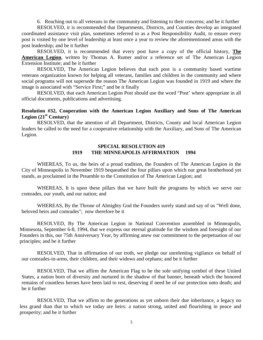6. Reaching out to all veterans in the community and listening to their concerns; and be it further

RESOLVED, it is recommended that Departments, Districts, and Counties develop an integrated coordinated assistance visit plan, sometimes referred to as a Post Responsibility Audit, to ensure every post is visited by one level of leadership at least once a year to review the aforementioned areas with the post leadership; and be it further

RESOLVED, it is recommended that every post have a copy of the official history, **The American Legion**, written by Thomas A. Rumer and/or a reference set of The American Legion Extension Institute; and be it further

RESOLVED, The American Legion believes that each post is a community based wartime veterans organization known for helping all veterans, families and children in the community and where social programs will not supersede the reason The American Legion was founded in 1919 and where the image is associated with "Service First;" and be it finally

RESOLVED, that each American Legion Post should use the word "Post' where appropriate in all official documents, publications and advertising.

## **Resolution #32, Cooperation with the American Legion Auxiliary and Sons of The American Legion (21st Century)**

RESOLVED, that the attention of all Department, Districts, County and local American Legion leaders be called to the need for a cooperative relationship with the Auxiliary, and Sons of The American Legion.

## **SPECIAL RESOLUTION 419 1919 THE MINNEAPOLIS AFFIRMATION 1994**

WHEREAS, To us, the heirs of a proud tradition, the Founders of The American Legion in the City of Minneapolis in November 1919 bequeathed the four pillars upon which our great brotherhood yet stands, as proclaimed in the Preamble to the Constitution of The American Legion; and

WHEREAS, It is upon these pillars that we have built the programs by which we serve our comrades, our youth, and our nation; and

WHEREAS, By the Throne of Almighty God the Founders surely stand and say of us "Well done, beloved heirs and comrades"; now therefore be it

RESOLVED, By The American Legion in National Convention assembled in Minneapolis, Minnesota, September 6-8, 1994, that we express our eternal gratitude for the wisdom and foresight of our Founders in this, our 75th Anniversary Year, by affirming anew our commitment to the perpetuation of our principles; and be it further

RESOLVED, That in affirmation of our troth, we pledge our unrelenting vigilance on behalf of our comrades-in-arms, their children, and their widows and orphans; and be it further

RESOLVED, That we affirm the American Flag to be the sole unifying symbol of these United States, a nation born of diversity and nurtured in the shadow of that banner, beneath which the honored remains of countless heroes have been laid to rest, deserving if need be of our protection unto death; and be it further

RESOLVED, That we affirm to the generations as yet unborn their due inheritance, a legacy no less grand than that to which we today are heirs: a nation strong, united and flourishing in peace and prosperity; and be it further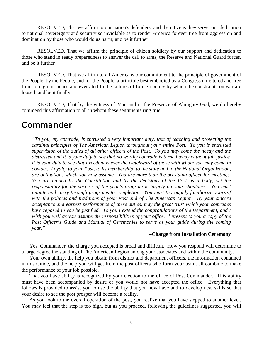RESOLVED, That we affirm to our nation's defenders, and the citizens they serve, our dedication to national sovereignty and security so inviolable as to render America forever free from aggression and domination by those who would do us harm; and be it further

RESOLVED, That we affirm the principle of citizen soldiery by our support and dedication to those who stand in ready preparedness to answer the call to arms, the Reserve and National Guard forces, and be it further

RESOLVED, That we affirm to all Americans our commitment to the principle of government of the People, by the People, and for the People, a principle best embodied by a Congress unfettered and free from foreign influence and ever alert to the failures of foreign policy by which the constraints on war are loosed; and be it finally

RESOLVED, That by the witness of Man and in the Presence of Almighty God, we do hereby commend this affirmation to all in whom these sentiments ring true.

# Commander

*"To you, my comrade, is entrusted a very important duty, that of teaching and protecting the cardinal principles of The American Legion throughout your entire Post. To you is entrusted supervision of the duties of all other officers of the Post. To you may come the needy and the distressed and it is your duty to see that no worthy comrade is turned away without full justice. It is your duty to see that Freedom is ever the watchword of those with whom you may come in contact. Loyalty to your Post, to its membership, to the state and to the National Organization, are obligations which you now assume. You are more than the presiding officer for meetings. You are guided by the Constitution and by the decisions of the Post as a body, yet the responsibility for the success of the year's program is largely on your shoulders. You must initiate and carry through programs to completion. You must thoroughly familiarize yourself with the policies and traditions of your Post and of The American Legion. By your sincere acceptance and earnest performance of these duties, may the great trust which your comrades have reposed in you be justified. To you I extend the congratulations of the Department, and I wish you well as you assume the responsibilities of your office. I present to you a copy of the Post Officer's Guide and Manual of Ceremonies to serve as your guide during the coming year."*

### **--Charge from Installation Ceremony**

Yes, Commander, the charge you accepted is broad and difficult. How you respond will determine to a large degree the standing of The American Legion among your associates and within the community.

Your own ability, the help you obtain from district and department officers, the information contained in this Guide, and the help you will get from the post officers who form your team, all combine to make the performance of your job possible.

That you have ability is recognized by your election to the office of Post Commander. This ability must have been accompanied by desire or you would not have accepted the office. Everything that follows is provided to assist you to use the ability that you now have and to develop new skills so that your desire to see the post prosper will become a reality.

As you look to the overall operation of the post, you realize that you have stepped to another level. You may feel that the step is too high, but as you proceed, following the guidelines suggested, you will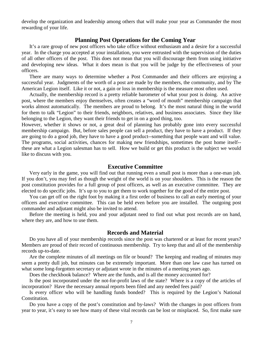develop the organization and leadership among others that will make your year as Commander the most rewarding of your life.

## **Planning Post Operations for the Coming Year**

It's a rare group of new post officers who take office without enthusiasm and a desire for a successful year. In the charge you accepted at your installation, you were entrusted with the supervision of the duties of all other officers of the post. This does not mean that you will discourage them from using initiative and developing new ideas. What it does mean is that you will be judge by the effectiveness of your officers.

There are many ways to determine whether a Post Commander and their officers are enjoying a successful year. Judgments of the worth of a post are made by the members, the community, and by The American Legion itself. Like it or not, a gain or loss in membership is the measure most often used.

Actually, the membership record is a pretty reliable barometer of what your post is doing. An active post, where the members enjoy themselves, often creates a "word of mouth" membership campaign that works almost automatically. The members are proud to belong. It's the most natural thing in the world for them to talk "Legion" to their friends, neighbors, relatives, and business associates. Since they like belonging to the Legion, they want their friends to get in on a good thing, too.

However, whether it shows or not, a great deal of planning has probably gone into every successful membership campaign. But, before sales people can sell a product, they have to have a product. If they are going to do a good job, they have to have a good product--something that people want and will value. The programs, social activities, chances for making new friendships, sometimes the post home itself- these are what a Legion salesman has to sell. How we build or get this product is the subject we would like to discuss with you.

## **Executive Committee**

Very early in the game, you will find out that running even a small post is more than a one-man job. If you don't, you may feel as though the weight of the world is on your shoulders. This is the reason the post constitution provides for a full group of post officers, as well as an executive committee. They are elected to do specific jobs. It's up to you to get them to work together for the good of the entire post.

You can get off on the right foot by making it a first order of business to call an early meeting of your officers and executive committee. This can be held even before you are installed. The outgoing post commander and adjutant might also be invited to attend.

Before the meeting is held, you and your adjutant need to find out what post records are on hand, where they are, and how to use them.

## **Records and Material**

Do you have all of your membership records since the post was chartered or at least for recent years? Members are proud of their record of continuous membership. Try to keep that and all of the membership records up-to-date.

Are the complete minutes of all meetings on file or bound? The keeping and reading of minutes may seem a pretty dull job, but minutes can be extremely important. More than one law case has turned on what some long-forgotten secretary or adjutant wrote in the minutes of a meeting years ago.

Does the checkbook balance? Where are the funds, and is all the money accounted for?

Is the post incorporated under the not-for-profit laws of the state? Where is a copy of the articles of incorporation? Have the necessary annual reports been filed and any needed fees paid?

Is every officer who will be handling funds bonded? This is required by the Legion's National Constitution.

Do you have a copy of the post's constitution and by-laws? With the changes in post officers from year to year, it's easy to see how many of these vital records can be lost or misplaced. So, first make sure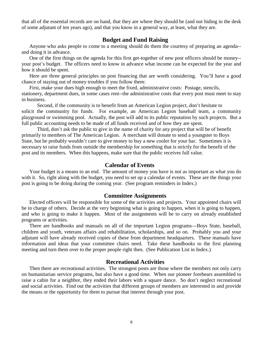that all of the essential records are on hand, that they are where they should be (and not hiding in the desk of some adjutant of ten years ago), and that you know in a general way, at least, what they are.

## **Budget and Fund Raising**

Anyone who asks people to come to a meeting should do them the courtesy of preparing an agenda- and doing it in advance.

One of the first things on the agenda for this first get-together of new post officers should be money- your post's budget. The officers need to know in advance what income can be expected for the year and how it should be spent.

Here are three general principles on post financing that are worth considering. You'll have a good chance of staying out of money troubles if you follow them:

First, make your dues high enough to meet the fixed, administrative costs: Postage, stencils, stationery, department dues, in some cases rent--the administrative costs that every post must meet to stay in business.

Second, if the community is to benefit from an American Legion project, don't hesitate to solicit the community for funds. For example, an American Legion baseball team, a community playground or swimming pool. Actually, the post will add to its public reputation by such projects. But a full public accounting needs to be made of all funds received and of how they are spent.

Third, don't ask the public to give in the name of charity for any project that will be of benefit primarily to members of The American Legion. A merchant will donate to send a youngster to Boys State, but he probably wouldn't care to give money to buy a new cooler for your bar. Sometimes it is necessary to raise funds from outside the membership for something that is strictly for the benefit of the post and its members. When this happens, make sure that the public receives full value.

## **Calendar of Events**

Your budget is a means to an end. The amount of money you have is not as important as what you do with it. So, right along with the budget, you need to set up a calendar of events. These are the things your post is going to be doing during the coming year. (See program reminders in Index.)

## **Committee Assignments**

Elected officers will be responsible for some of the activities and projects. Your appointed chairs will be in charge of others. Decide at the very beginning what is going to happen, when it is going to happen, and who is going to make it happen. Most of the assignments will be to carry on already established programs or activities.

There are handbooks and manuals on all of the important Legion programs—Boys State, baseball, children and youth, veterans affairs and rehabilitation, scholarships, and so on. Probably you and your adjutant will have already received copies of these from department headquarters. These manuals have information and ideas that your committee chairs need. Take these handbooks to the first planning meeting and turn them over to the proper people right then. (See Publication List in Index.)

## **Recreational Activities**

Then there are recreational activities. The strongest posts are those where the members not only carry on humanitarian service programs, but also have a good time. When our pioneer forebears assembled to raise a cabin for a neighbor, they ended their labors with a square dance. So don't neglect recreational and social activities. Find out the activities that different groups of members are interested in and provide the means or the opportunity for them to pursue that interest through your post.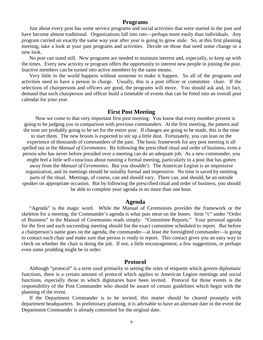## **Programs**

Just about every post has some service programs and social activities that were started in the past and have become almost traditional. Organizations fall into ruts—perhaps more easily than individuals. Any program carried on exactly the same way year after year is going to grow stale. So, at this first planning meeting, take a look at your past programs and activities. Decide on those that need some change or a new look.

No post can stand still. New programs are needed to maintain interest and, especially, to keep up with the times. Every new activity or program offers the opportunity to interest new people in joining the post. Inactive members can be turned into active members by the same means.

Very little in the world happens without someone to make it happen. So all of the programs and activities need to have a person in charge. Usually, this is a post officer or committee chair. If the selections of chairpersons and officers are good, the programs will move. You should ask and, in fact, demand that each chairperson and officer build a timetable of events that can be fitted into an overall post calendar for your year.

## **First Post Meeting**

Now we come to that very important first post meeting. You know that every member present is going to be judging you in comparison with previous commanders. At the first meeting, the pattern and the tone are probably going to be set for the entire year. If changes are going to be made, this is the time to start them. The new broom is expected to stir up a little dust. Fortunately, you can lean on the experience of thousands of commanders of the past. The basic framework for any post meeting is all spelled out in the *Manual of Ceremonies*. By following the prescribed ritual and order of business, even a person who has never before presided over a meeting can do an adequate job. As a new commander, you might feel a little self-conscious about running a formal meeting, particularly in a post that has gotten away from the *Manual of Ceremonies*. But you shouldn't. The American Legion is an impressive organization, and its meetings should be suitably formal and impressive. No time is saved by omitting parts of the ritual. Meetings, of course, can and should vary. There can, and should, be an outside speaker on appropriate occasion. But by following the prescribed ritual and order of business, you should be able to complete your agenda in no more than one hour.

## **Agenda**

"Agenda" is the magic word. While the Manual of Ceremonies provides the framework or the skeleton for a meeting, the Commander's agenda is what puts meat on the bones. Item "c" under "Order of Business" in the Manual of Ceremonies reads simply: "Committee Reports." Your personal agenda for the first and each succeeding meeting should list the exact committee scheduled to report. But before a chairperson's name goes on the agenda, the commander—at least the foresighted commander—is going to contact each chair and make sure that person is ready to report. This contact gives you an easy way to check on whether the chair is doing the job. If not, a little encouragement, a few suggestions, or perhaps even some prodding might be in order.

## **Protocol**

Although "protocol" is a term used primarily in setting the rules of etiquette which govern diplomatic functions, there is a certain amount of protocol which applies to American Legion meetings and social functions, especially those to which dignitaries have been invited. Protocol for those events is the responsibility of the Post Commander who should be aware of certain guidelines which begin with the planning of the event.

If the Department Commander is to be invited, this matter should be cleared promptly with department headquarters. In preliminary planning, it is advisable to have an alternate date in the event the Department Commander is already committed for the original date.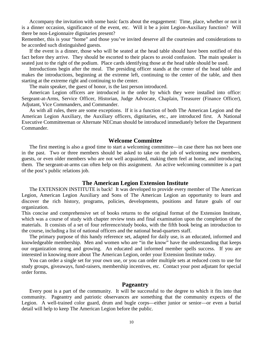Accompany the invitation with some basic facts about the engagement: Time, place, whether or not it is a dinner occasion, significance of the event, etc. Will it be a joint Legion-Auxiliary function? Will there be non-Legionnaire dignitaries present?

Remember, this is your "home" and those you've invited deserve all the courtesies and considerations to be accorded such distinguished guests.

If the event is a dinner, those who will be seated at the head table should have been notified of this fact before they arrive. They should be escorted to their places to avoid confusion. The main speaker is seated just to the right of the podium. Place cards identifying those at the head table should be used.

Introductions begin after the meal. The presiding officer stands at the center of the head table and makes the introductions, beginning at the extreme left, continuing to the center of the table, and then starting at the extreme right and continuing to the center.

The main speaker, the guest of honor, is the last person introduced.

American Legion officers are introduced in the order by which they were installed into office: Sergeant-at-Arms, Service Officer, Historian, Judge Advocate, Chaplain, Treasurer (Finance Officer), Adjutant, Vice Commanders, and Commander.

As with all rules, there are some exceptions. If it is a function of both The American Legion and the American Legion Auxiliary, the Auxiliary officers, dignitaries, etc., are introduced first. A National Executive Committeeman or Alternate NECman should be introduced immediately before the Department Commander.

## **Welcome Committee**

The first meeting is also a good time to start a welcoming committee—in case there has not been one in the past. Two or three members should be asked to take on the job of welcoming new members, guests, or even older members who are not well acquainted, making them feel at home, and introducing them. The sergeant-at-arms can often help on this assignment. An active welcoming committee is a part of the post's public relations job.

## **The American Legion Extension Institute**

The EXTENSION INSTITUTE is back! It was developed to provide every member of The American Legion, American Legion Auxiliary and Sons of The American Legion an opportunity to learn and discover the rich history, programs, policies, developments, positions and future goals of our organization.

This concise and comprehensive set of books returns to the original format of the Extension Institute, which was a course of study with chapter review tests and final examination upon the completion of the materials. It consists of a set of four reference/study books, with the fifth book being an introduction to the course, including a list of national officers and the national head-quarters staff.

The primary purpose of this handy reference set, adapted for daily use, is an educated, informed and knowledgeable membership. Men and women who are "in the know" have the understanding that keeps our organization strong and growing. An educated and informed member spells success. If you are interested in knowing more about The American Legion, order your Extension Institute today.

You can order a single set for your own use, or you can order multiple sets at reduced costs to use for study groups, giveaways, fund-raisers, membership incentives, etc. Contact your post adjutant for special order forms.

## **Pageantry**

Every post is a part of the community. It will be successful to the degree to which it fits into that community. Pageantry and patriotic observances are something that the community expects of the Legion. A well-trained color guard, drum and bugle corps—either junior or senior—or even a burial detail will help to keep The American Legion before the public.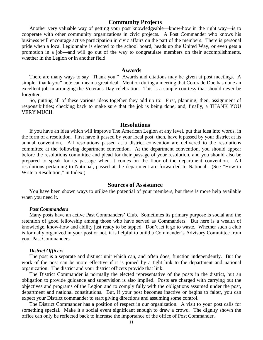## **Community Projects**

Another very valuable way of getting your post knowledgeable—know-how in the right way—is to cooperate with other community organizations in civic projects. A Post Commander who knows his business will encourage active participation in civic affairs on the part of the members. There is personal pride when a local Legionnaire is elected to the school board, heads up the United Way, or even gets a promotion in a job—and will go out of the way to congratulate members on their accomplishments, whether in the Legion or in another field.

## **Awards**

There are many ways to say "Thank you." Awards and citations may be given at post meetings. A simple "thank-you" note can mean a great deal. Mention during a meeting that Comrade Doe has done an excellent job in arranging the Veterans Day celebration. This is a simple courtesy that should never be forgotten.

So, putting all of these various ideas together they add up to: First, planning; then, assignment of responsibilities; checking back to make sure that the job is being done; and, finally, a THANK YOU VERY MUCH.

#### **Resolutions**

If you have an idea which will improve The American Legion at any level, put that idea into words, in the form of a resolution. First have it passed by your local post; then, have it passed by your district at its annual convention. All resolutions passed at a district convention are delivered to the resolutions committee at the following department convention. At the department convention, you should appear before the resolutions committee and plead for their passage of your resolution, and you should also be prepared to speak for its passage when it comes on the floor of the department convention. All resolutions pertaining to National, passed at the department are forwarded to National. (See "How to Write a Resolution," in Index.)

## **Sources of Assistance**

You have been shown ways to utilize the potential of your members, but there is more help available when you need it.

#### *Past Commanders*

Many posts have an active Past Commanders' Club. Sometimes its primary purpose is social and the retention of good fellowship among those who have served as Commanders. But here is a wealth of knowledge, know-how and ability just ready to be tapped. Don't let it go to waste. Whether such a club is formally organized in your post or not, it is helpful to build a Commander's Advisory Committee from your Past Commanders

#### *District Officers*

The post is a separate and distinct unit which can, and often does, function independently. But the work of the post can be more effective if it is joined by a tight link to the department and national organization. The district and your district officers provide that link.

The District Commander is normally the elected representative of the posts in the district, but an obligation to provide guidance and supervision is also implied. Posts are charged with carrying out the objectives and programs of the Legion and to comply fully with the obligations assumed under the post, department and national constitutions. But, if your post becomes inactive or begins to falter, you can expect your District commander to start giving directions and assuming some control.

The District Commander has a position of respect in our organization. A visit to your post calls for something special. Make it a social event significant enough to draw a crowd. The dignity shown the office can only be reflected back to increase the importance of the office of Post Commander.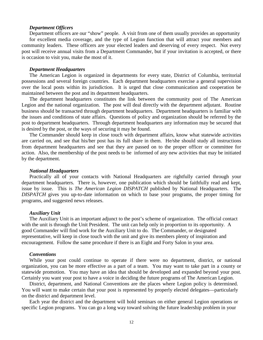#### *Department Officers*

Department officers are our "show" people. A visit from one of them usually provides an opportunity for excellent media coverage, and the type of Legion function that will attract your members and community leaders. These officers are your elected leaders and deserving of every respect. Not every post will receive annual visits from a Department Commander, but if your invitation is accepted, or there is occasion to visit you, make the most of it.

### *Department Headquarters*

The American Legion is organized in departments for every state, District of Columbia, territorial possessions and several foreign countries. Each department headquarters exercise a general supervision over the local posts within its jurisdiction. It is urged that close communication and cooperation be maintained between the post and its department headquarters.

The department headquarters constitutes the link between the community post of The American Legion and the national organization. The post will deal directly with the department adjutant. Routine business should be transacted through department headquarters. Department headquarters is familiar with the issues and conditions of state affairs. Questions of policy and organization should be referred by the post to department headquarters. Through department headquarters any information may be secured that is desired by the post, or the ways of securing it may be found.

The Commander should keep in close touch with department affairs, know what statewide activities are carried on, and see that his/her post has its full share in them. He/she should study all instructions from department headquarters and see that they are passed on to the proper officer or committee for action. Also, the membership of the post needs to be informed of any new activities that may be initiated by the department.

### *National Headquarters*

Practically all of your contacts with National Headquarters are rightfully carried through your department headquarters. There is, however, one publication which should be faithfully read and kept, issue by issue. This is *The American Legion DISPATCH* published by National Headquarters. The *DISPATCH* gives you up-to-date information on which to base your programs, the proper timing for programs, and suggested news releases.

#### *Auxiliary Unit*

The Auxiliary Unit is an important adjunct to the post's scheme of organization. The official contact with the unit is through the Unit President. The unit can help only in proportion to its opportunity. A good Commander will find work for the Auxiliary Unit to do. The Commander, or designated representative, will keep in close touch with the unit and give its members plenty of inspiration and encouragement. Follow the same procedure if there is an Eight and Forty Salon in your area.

#### *Conventions*

While your post could continue to operate if there were no department, district, or national organization, you can be more effective as a part of a team. You may want to take part in a county or statewide promotion. You may have an idea that should be developed and expanded beyond your post. Certainly you want your post to have a voice in deciding the future programs of The American Legion.

District, department, and National Conventions are the places where Legion policy is determined. You will want to make certain that your post is represented by properly elected delegates—particularly on the district and department level.

Each year the district and the department will hold seminars on either general Legion operations or specific Legion programs. You can go a long way toward solving the future leadership problem in your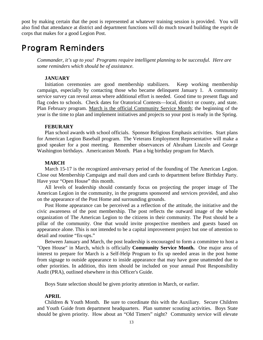post by making certain that the post is represented at whatever training session is provided. You will also find that attendance at district and department functions will do much toward building the esprit de corps that makes for a good Legion Post.

# Program Reminders

*Commander, it's up to you! Programs require intelligent planning to be successful. Here are some reminders which should be of assistance.*

## **JANUARY**

Initiation ceremonies are good membership stabilizers. Keep working membership campaign, especially by contacting those who became delinquent January 1. A community service survey can reveal areas where additional effort is needed. Good time to present flags and flag codes to schools. Check dates for Oratorical Contests—local, district or county, and state. Plan February program. March is the official Community Service Month; the beginning of the year is the time to plan and implement initiatives and projects so your post is ready in the Spring.

#### **FEBURARY**

Plan school awards with school officials. Sponsor Religious Emphasis activities. Start plans for American Legion Baseball program. The Veterans Employment Representative will make a good speaker for a post meeting. Remember observances of Abraham Lincoln and George Washington birthdays. Americanism Month. Plan a big birthday program for March.

### **MARCH**

March 15-17 is the recognized anniversary period of the founding of The American Legion. Close out Membership Campaign and mail dues and cards to department before Birthday Party. Have your "Open House" this month.

All levels of leadership should constantly focus on projecting the proper image of The American Legion in the community, in the programs sponsored and services provided, and also on the appearance of the Post Home and surrounding grounds.

Post Home appearance can be perceived as a reflection of the attitude, the initiative and the civic awareness of the post membership. The post reflects the outward image of the whole organization of The American Legion to the citizens in their community. The Post should be a pillar of the community. One that would invite prospective members and guests based on appearance alone. This is not intended to be a capital improvement project but one of attention to detail and routine "fix-ups."

Between January and March, the post leadership is encouraged to form a committee to host a "Open House" in March, which is officially **Community Service Month.** One major area of interest to prepare for March is a Self-Help Program to fix up needed areas in the post home from signage to outside appearance to inside appearance that may have gone unattended due to other priorities. In addition, this item should be included on your annual Post Responsibility Audit (PRA), outlined elsewhere in this Officer's Guide.

Boys State selection should be given priority attention in March, or earlier.

#### **APRIL**

Children & Youth Month. Be sure to coordinate this with the Auxiliary. Secure Children and Youth Guide from department headquarters. Plan summer scouting activities. Boys State should be given priority. How about an "Old Timers" night? Community service will elevate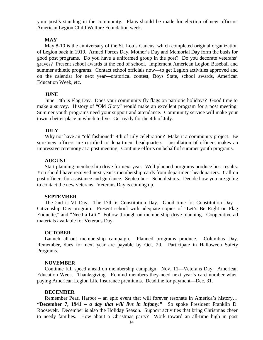your post's standing in the community. Plans should be made for election of new officers. American Legion Child Welfare Foundation week.

### **MAY**

May 8-10 is the anniversary of the St. Louis Caucus, which completed original organization of Legion back in 1919. Armed Forces Day, Mother's Day and Memorial Day form the basis for good post programs. Do you have a uniformed group in the post? Do you decorate veterans' graves? Present school awards at the end of school. Implement American Legion Baseball and summer athletic programs. Contact school officials now—to get Legion activities approved and on the calendar for next year—oratorical contest, Boys State, school awards, American Education Week, etc.

#### **JUNE**

June 14th is Flag Day. Does your community fly flags on patriotic holidays? Good time to make a survey. History of "Old Glory" would make an excellent program for a post meeting. Summer youth programs need your support and attendance. Community service will make your town a better place in which to live. Get ready for the 4th of July.

#### **JULY**

Why not have an "old fashioned" 4th of July celebration? Make it a community project. Be sure new officers are certified to department headquarters. Installation of officers makes an impressive ceremony at a post meeting. Continue efforts on behalf of summer youth programs.

## **AUGUST**

Start planning membership drive for next year. Well planned programs produce best results. You should have received next year's membership cards from department headquarters. Call on past officers for assistance and guidance. September—School starts. Decide how you are going to contact the new veterans. Veterans Day is coming up.

#### **SEPTEMBER**

The 2nd is VJ Day. The 17th is Constitution Day. Good time for Constitution Day— Citizenship Day program. Present school with adequate copies of "Let's Be Right on Flag Etiquette," and "Need a Lift." Follow through on membership drive planning. Cooperative ad materials available for Veterans Day.

#### **OCTOBER**

Launch all-out membership campaign. Planned programs produce. Columbus Day. Remember, dues for next year are payable by Oct. 20. Participate in Halloween Safety Programs.

#### **NOVEMBER**

Continue full speed ahead on membership campaign. Nov. 11—Veterans Day. American Education Week. Thanksgiving. Remind members they need next year's card number when paying American Legion Life Insurance premiums. Deadline for payment—Dec. 31.

#### **DECEMBER**

Remember Pearl Harbor – an epic event that will forever resonate in America's history… **"December 7, 1941 –** *a day that will live in infamy."* So spoke President Franklin D. Roosevelt. December is also the Holiday Season. Support activities that bring Christmas cheer to needy families. How about a Christmas party? Work toward an all-time high in post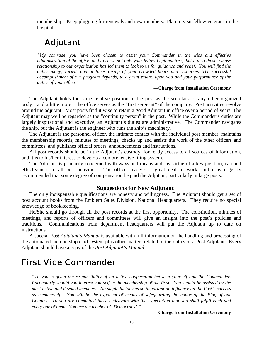membership. Keep plugging for renewals and new members. Plan to visit fellow veterans in the hospital.

# Adjutant

*"My comrade, you have been chosen to assist your Commander in the wise and effective administration of the office and to serve not only your fellow Legionnaires, but a also those whose relationship to our organization has led them to look to us for guidance and relief. You will find the duties many, varied, and at times taxing of your crowded hours and resources. The successful accomplishment of our program depends, to a great extent, upon you and your performance of the duties of your office."*

#### **—Charge from Installation Ceremony**

The Adjutant holds the same relative position in the post as the secretary of any other organized body—and a little more—the office serves as the "first sergeant" of the company. Post activities revolve around the adjutant. Most posts find it wise to retain a good Adjutant in office over a period of years. The Adjutant may well be regarded as the "continuity person" in the post. While the Commander's duties are largely inspirational and executive, an Adjutant's duties are administrative. The Commander navigates the ship, but the Adjutant is the engineer who runs the ship's machinery.

The Adjutant is the personnel officer, the intimate contact with the individual post member, maintains the membership records, minutes of meetings, checks up and assists the work of the other officers and committees, and publishes official orders, announcements and instructions.

All post records should be in the Adjutant's custody; for ready access to all sources of information, and it is to his/her interest to develop a comprehensive filing system.

The Adjutant is primarily concerned with ways and means and, by virtue of a key position, can add effectiveness to all post activities. The office involves a great deal of work, and it is urgently recommended that some degree of compensation be paid the Adjutant, particularly in large posts.

## **Suggestions for New Adjutant**

The only indispensable qualifications are honesty and willingness. The Adjutant should get a set of post account books from the Emblem Sales Division, National Headquarters. They require no special knowledge of bookkeeping.

He/She should go through all the post records at the first opportunity. The constitution, minutes of meetings, and reports of officers and committees will give an insight into the post's policies and traditions. Communications from department headquarters will put the Adjutant up to date on instructions.

A special *Post Adjutant's Manual* is available with full information on the handling and processing of the automated membership card system plus other matters related to the duties of a Post Adjutant. Every Adjutant should have a copy of the *Post Adjutant's Manual*.

# First Vice Commander

*"To you is given the responsibility of an active cooperation between yourself and the Commander. Particularly should you interest yourself in the membership of the Post. You should be assisted by the most active and devoted members. No single factor has so important an influence on the Post's success as membership. You will be the exponent of means of safeguarding the honor of the Flag of our Country. To you are committed these endeavors with the expectation that you shall fulfill each and every one of them. You are the teacher of 'Democracy'."*

**—Charge from Installation Ceremony**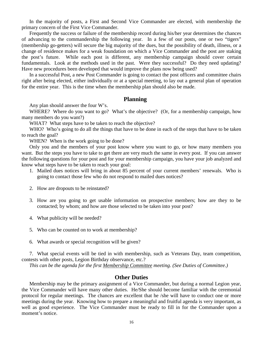In the majority of posts, a First and Second Vice Commander are elected, with membership the primary concern of the First Vice Commander.

Frequently the success or failure of the membership record during his/her year determines the chances of advancing to the commandership the following year. In a few of our posts, one or two "tigers" (membership go-getters) will secure the big majority of the dues, but the possibility of death, illness, or a change of residence makes for a weak foundation on which a Vice Commander and the post are staking the post's future. While each post is different, any membership campaign should cover certain fundamentals. Look at the methods used in the past. Were they successful? Do they need updating? Have new procedures been developed that would improve the plans now being used?

In a successful Post, a new Post Commander is going to contact the post officers and committee chairs right after being elected, either individually or at a special meeting, to lay out a general plan of operation for the entire year. This is the time when the membership plan should also be made.

## **Planning**

Any plan should answer the four W's.

WHERE? Where do you want to go? What's the objective? (Or, for a membership campaign, how many members do you want?)

WHAT? What steps have to be taken to reach the objective?

WHO? Who's going to do all the things that have to be done in each of the steps that have to be taken to reach the goal?

WHEN? When is the work going to be done?

Only you and the members of your post know where you want to go, or how many members you want. But the steps you have to take to get there are very much the same in every post. If you can answer the following questions for your post and for your membership campaign, you have your job analyzed and know what steps have to be taken to reach your goal:

- 1. Mailed dues notices will bring in about 85 percent of your current members' renewals. Who is going to contact those few who do not respond to mailed dues notices?
- 2. How are dropouts to be reinstated?
- 3. How are you going to get usable information on prospective members; how are they to be contacted; by whom; and how are those selected to be taken into your post?
- 4. What publicity will be needed?
- 5. Who can be counted on to work at membership?
- 6. What awards or special recognition will be given?

7. What special events will be tied in with membership, such as Veterans Day, team competition, contests with other posts, Legion Birthday observance, etc.?

*This can be the agenda for the first Membership Committee meeting. (See Duties of Committee.)*

## **Other Duties**

Membership may be the primary assignment of a Vice Commander, but during a normal Legion year, the Vice Commander will have many other duties. He/She should become familiar with the ceremonial protocol for regular meetings. The chances are excellent that he /she will have to conduct one or more meetings during the year. Knowing how to prepare a meaningful and fruitful agenda is very important, as well as good experience. The Vice Commander must be ready to fill in for the Commander upon a moment's notice.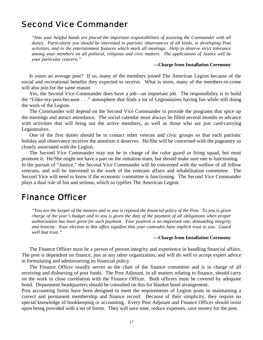# Second Vice Commander

*"Into your helpful hands are placed the important responsibilities of assisting the Commander with all duties. Particularly you should be interested in patriotic observances of all kinds, in developing Post activities, and in the entertainment features which mark all meetings. Help to observe strict tolerance among your members on all political, religious and civic matters. The applications of Justice will be your particular concern."*

#### **—Charge from Installation Ceremony**

Is yours an average post? If so, many of the members joined The American Legion because of the social and recreational benefits they expected to receive. What is more, many of the members-to-come will also join for the same reason.

Yes, the Second Vice Commander does have a job—an important job. The responsibility is to build the "I-like-my-post-because . . ." atmosphere that finds a lot of Legionnaires having fun while still doing the work of the Legion.

The Commander will depend on the Second Vice Commander to provide the programs that spice up the meetings and attract attendance. The social calendar must always be filled several months in advance with activities that will bring out the active members, as well as those who are just card-carrying Legionnaires.

One of the first duties should be to contact other veteran and civic groups so that each patriotic holiday and observance receives the attention it deserves. He/She will be concerned with the pageantry so closely associated with the Legion.

The Second Vice Commander may not be in charge of the color guard or firing squad, but must promote it. He/She might not have a part on the initiation team, but should make sure one is functioning. In the pursuit of "Justice," the Second Vice Commander will be concerned with the welfare of all fellow

veterans, and will be interested in the work of the veterans affairs and rehabilitation committee. The Second Vice will need to know if the economic committee is functioning. The Second Vice Commander plays a dual role of fun and serious, which so typifies The American Legion.

# Finance Officer

*"You are the keeper of the moneys and in you is reposed the financial policy of the Post. To you is given charge of the year's budget and to you is given the duty of the payment of all obligations when proper authorization has been given for such payment. Your position is an important one, demanding integrity and honesty. Your election to this office signifies that your comrades have implicit trust in you. Guard well that trust."*

#### **—Charge from Installation Ceremony**

The Finance Officer must be a person of proven integrity and experience in handling financial affairs. The post is dependent on finance, just as any other organization, and will do well to accept expert advice in formulating and administering its financial policy.

The Finance Officer usually serves as the chair of the finance committee and is in charge of all receiving and disbursing of post funds. The Post Adjutant, in all matters relating to finance, should carry on the work in close correlation with the Finance Officer. Both officers must be covered by adequate bond. Department headquarters should be consulted on this for blanket bond arrangement.

Post accounting forms have been designed to meet the requirements of Legion posts in maintaining a correct and permanent membership and finance record. Because of their simplicity, they require no special knowledge of bookkeeping or accounting. Every Post Adjutant and Finance Officer should insist upon being provided with a set of forms. They will save time, reduce expenses, save money for the post.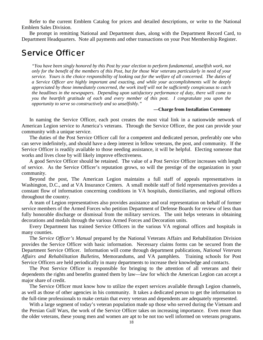Refer to the current Emblem Catalog for prices and detailed descriptions, or write to the National Emblem Sales Division.

Be prompt in remitting National and Department dues, along with the Department Record Card, to Department Headquarters. Note all payments and other transactions on your Post Membership Register.

## Service Officer

*"You have been singly honored by this Post by your election to perform fundamental, unselfish work, not only for the benefit of the members of this Post, but for those War veterans particularly in need of your service. Yours is the choice responsibility of looking out for the welfare of all concerned. The duties of a Service Officer are highly important and exacting, and while your accomplishments will be deeply appreciated by those immediately concerned, the work itself will not be sufficiently conspicuous to catch the headlines in the newspapers. Depending upon satisfactory performance of duty, there will come to you the heartfelt gratitude of each and every member of this post. I congratulate you upon the opportunity to serve so constructively and so unselfishly."*

#### **—Charge from Installation Ceremony**

In naming the Service Officer, each post creates the most vital link in a nationwide network of American Legion service to America's veterans. Through the Service Officer, the post can provide your community with a unique service.

The duties of the Post Service Officer call for a competent and dedicated person, preferably one who can serve indefinitely, and should have a deep interest in fellow veterans, the post, and community. If the Service Officer is readily available to those needing assistance, it will be helpful. Electing someone that works and lives close by will likely improve effectiveness.

A good Service Officer should be retained. The value of a Post Service Officer increases with length of service. As the Service Officer's reputation grows, so will the prestige of the organization in your community.

Beyond the post, The American Legion maintains a full staff of appeals representatives in Washington, D.C., and at VA Insurance Centers. A small mobile staff of field representatives provides a constant flow of information concerning conditions in VA hospitals, domiciliaries, and regional offices throughout the country.

A team of Legion representatives also provides assistance and oral representation on behalf of former service members of the Armed Forces who petition Department of Defense Boards for review of less than fully honorable discharge or dismissal from the military services. The unit helps veterans in obtaining decorations and medals through the various Armed Forces and Decoration units.

Every Department has trained Service Officers in the various VA regional offices and hospitals in many counties.

The *Service Officer's Manual* prepared by the National Veterans Affairs and Rehabilitation Division provides the Service Officer with basic information. Necessary claims forms can be secured from the Department Service Officer. Information will come through department publications, *National Veterans Affairs and Rehabilitation Bulletins*, Memorandums, and VA pamphlets. Training schools for Post Service Officers are held periodically in many departments to increase their knowledge and contacts.

The Post Service Officer is responsible for bringing to the attention of all veterans and their dependents the rights and benefits granted them by law—law for which the American Legion can accept a major share of credit.

The Service Officer must know how to utilize the expert services available through Legion channels, as well as those of other agencies in his community. It takes a dedicated person to get the information to the full-time professionals to make certain that every veteran and dependents are adequately represented.

With a large segment of today's veteran population made up those who served during the Vietnam and the Persian Gulf Wars, the work of the Service Officer takes on increasing importance. Even more than the older veterans, these young men and women are apt to be not too well informed on veterans programs.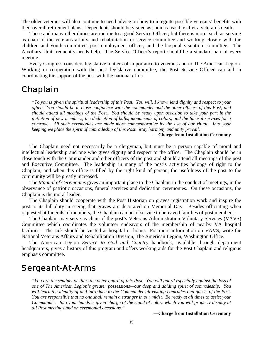The older veterans will also continue to need advice on how to integrate possible veterans' benefits with their overall retirement plans. Dependents should be visited as soon as feasible after a veteran's death.

These and many other duties are routine to a good Service Officer, but there is more, such as serving as chair of the veterans affairs and rehabilitation or service committee and working closely with the children and youth committee, post employment officer, and the hospital visitation committee. The Auxiliary Unit frequently needs help. The Service Officer's report should be a standard part of every meeting.

Every Congress considers legislative matters of importance to veterans and to The American Legion. Working in cooperation with the post legislative committee, the Post Service Officer can aid in coordinating the support of the post with the national effort.

# Chaplain

*"To you is given the spiritual leadership of this Post. You will, I know, lend dignity and respect to your office. You should be in close confidence with the commander and the other officers of this Post, and should attend all meetings of the Post. You should be ready upon occasion to take your part in the initiation of new members, the dedication of halls, monuments of colors, and the funeral services for a comrade. All such ceremonies are made more commemorative by the use of our ritual. Into your keeping we place the spirit of comradeship of this Post. May harmony and unity prevail."*

#### **—Charge from Installation Ceremony**

The Chaplain need not necessarily be a clergyman, but must be a person capable of moral and intellectual leadership and one who gives dignity and respect to the office. The Chaplain should be in close touch with the Commander and other officers of the post and should attend all meetings of the post and Executive Committee. The leadership in many of the post's activities belongs of right to the Chaplain, and when this office is filled by the right kind of person, the usefulness of the post to the community will be greatly increased.

The *Manual of Ceremonies* gives an important place to the Chaplain in the conduct of meetings, in the observance of patriotic occasions, funeral services and dedication ceremonies. On these occasions, the Chaplain is the moral leader.

The Chaplain should cooperate with the Post Historian on graves registration work and inspire the post to its full duty in seeing that graves are decorated on Memorial Day. Besides officiating when requested at funerals of members, the Chaplain can be of service to bereaved families of post members.

The Chaplain may serve as chair of the post's Veterans Administration Voluntary Services (VAVS) Committee which coordinates the volunteer endeavors of the membership of nearby VA hospital facilities. The sick should be visited at hospital or home. For more information on VAVS, write the National Veterans Affairs and Rehabilitation Division, The American Legion, Washington Office.

The American Legion *Service to God and Country* handbook, available through department headquarters, gives a history of this program and offers working aids for the Post Chaplain and religious emphasis committee.

## Sergeant-At-Arms

*"You are the sentinel or tiler, the outer guard of this Post. You will guard especially against the loss of one of The American Legion's greater possessions—our deep and abiding spirit of comradeship. You will learn the identity of and introduce to the Commander all visiting comrades and guests of the Post. You are responsible that no one shall remain a stranger in our midst. Be ready at all times to assist your Commander. Into your hands is given charge of the stand of colors which you will properly display at all Post meetings and on ceremonial occasions."*

**—Charge from Installation Ceremony**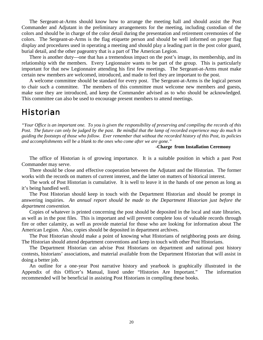The Sergeant-at-Arms should know how to arrange the meeting hall and should assist the Post Commander and Adjutant in the preliminary arrangements for the meeting, including custodian of the colors and should be in charge of the color detail during the presentation and retirement ceremonies of the colors. The Sergeant-at-Arms is the flag etiquette person and should be well informed on proper flag display and procedures used in operating a meeting and should play a leading part in the post color guard, burial detail, and the other pageantry that is a part of The American Legion.

There is another duty—one that has a tremendous impact on the post's image, its membership, and its relationship with the members. Every Legionnaire wants to be part of the group. This is particularly important for that new Legionnaire attending his first few meetings. The Sergeant-at-Arms must make certain new members are welcomed, introduced, and made to feel they are important to the post.

A welcome committee should be standard for every post. The Sergeant-at-Arms is the logical person to chair such a committee. The members of this committee must welcome new members and guests, make sure they are introduced, and keep the Commander advised as to who should be acknowledged. This committee can also be used to encourage present members to attend meetings.

# **Historian**

*"Your Office is an important one. To you is given the responsibility of preserving and compiling the records of this Post. The future can only be judged by the past. Be mindful that the lamp of recorded experience may do much in guiding the footsteps of those who follow. Ever remember that without the recorded history of this Post, its policies and accomplishments will be a blank to the ones who come after we are gone."*

#### **-Charge from Installation Ceremony**

The office of Historian is of growing importance. It is a suitable position in which a past Post Commander may serve.

There should be close and effective cooperation between the Adjutant and the Historian. The former works with the records on matters of current interest, and the latter on matters of historical interest.

The work of Post Historian is cumulative. It is well to leave it in the hands of one person as long as it's being handled well.

The Post Historian should keep in touch with the Department Historian and should be prompt in answering inquiries. *An annual report should be made to the Department Historian just before the department convention.*

Copies of whatever is printed concerning the post should be deposited in the local and state libraries, as well as in the post files. This is important and will prevent complete loss of valuable records through fire or other calamity, as well as provide material for those who are looking for information about The American Legion. Also, copies should be deposited in department archives.

The Post Historian should make a point of knowing what Historians of neighboring posts are doing. The Historian should attend department conventions and keep in touch with other Post Historians.

The Department Historian can advise Post Historians on department and national post history contests, historians' associations, and material available from the Department Historian that will assist in doing a better job.

An outline for a one-year Post narrative history and yearbook is graphically illustrated in the Appendix of this Officer's Manual, listed under "Histories Are Important." The information recommended will be beneficial in assisting Post Historians in compiling these books.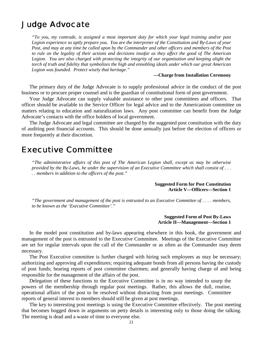# Judge Advocate

*"To you, my comrade, is assigned a most important duty for which your legal training and/or past Legion experience so aptly prepare you. You are the interpreter of the Constitution and By-Laws of your Post, and may at any time be called upon by the Commander and other officers and members of the Post to rule on the legality of their actions and decisions insofar as they affect the good of The American Legion. You are also charged with protecting the integrity of our organization and keeping alight the torch of truth and fidelity that symbolizes the high and ennobling ideals under which our great American Legion was founded. Protect wisely that heritage."*

#### **—Charge from Installation Ceremony**

The primary duty of the Judge Advocate is to supply professional advice in the conduct of the post business or to procure proper counsel and is the guardian of constitutional form of post government.

Your Judge Advocate can supply valuable assistance to other post committees and officers. That officer should be available to the Service Officer for legal advice and to the Americanism committee on matters relating to education and naturalization laws. Any post committee can benefit from the Judge Advocate's contacts with the office holders of local government.

The Judge Advocate and legal committee are charged by the suggested post constitution with the duty of auditing post financial accounts. This should be done annually just before the election of officers or more frequently at their discretion.

# Executive Committee

*"The administrative affairs of this post of The American Legion shall, except as may be otherwise provided by the By-Laws, be under the supervision of an Executive Committee which shall consist of . . . . . members in addition to the officers of the post."*

> **Suggested Form for Post Constitution Article V—Officers—Section 1**

*"The government and management of the post is entrusted to an Executive Committee of . . . . members, to be known as the 'Executive Committee'."*

> **Suggested Form of Post By-Laws Article II—Management—Section 1**

In the model post constitution and by-laws appearing elsewhere in this book, the government and management of the post is entrusted to the Executive Committee. Meetings of the Executive Committee are set for regular intervals upon the call of the Commander or as often as the Commander may deem necessary.

The Post Executive committee is further charged with hiring such employees as may be necessary; authorizing and approving all expenditures; requiring adequate bonds from all persons having the custody of post funds; hearing reports of post committee chairmen; and generally having charge of and being responsible for the management of the affairs of the post.

Delegation of these functions to the Executive Committee is in no way intended to usurp the powers of the membership through regular post meetings. Rather, this allows the dull, routine, operational affairs of the post to be resolved without distracting from post meetings. Committee reports of general interest to members should still be given at post meetings.

The key to interesting post meetings is using the Executive Committee effectively. The post meeting that becomes bogged down in arguments on petty details is interesting only to those doing the talking. The meeting is dead and a waste of time to everyone else.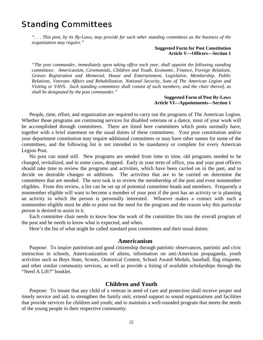# Standing Committees

*". . . This post, by its By-Laws, may provide for such other standing committees as the business of the organization may require."*

### **Suggested Form for Post Constitution Article V—Officers—Section 1**

*"The post commander, immediately upon taking office each year, shall appoint the following standing committees: Americanism, Ceremonials, Children and Youth, Economic, Finance, Foreign Relations, Graves Registration and Memorial, House and Entertainment, Legislative, Membership, Public Relations, Veterans Affairs and Rehabilitation, National Security, Sons of The American Legion and Visiting or VAVS. Such standing committees shall consist of such members, and the chair thereof, as shall be designated by the post commander."*

#### **Suggested Form of Post By-Laws Article VI—Appointments—Section 1**

People, time, effort, and organization are required to carry out the programs of The American Legion. Whether those programs are continuing services for disabled veterans or a dance, most of your work will be accomplished through committees. There are listed here committees which posts normally have, together with a brief statement on the usual duties of these committees. Your post constitution and/or your department constitution may require additional committees or may have other names for some of the committees, and the following list is not intended to be mandatory or complete for every American Legion Post.

No post can stand still. New programs are needed from time to time, old programs needed to be changed, revitalized, and in some cases, dropped. Early in your term of office, you and your post officers should take time to review the programs and activities, which have been carried on in the past, and to decide on desirable changes or additions. The activities that are to be carried on determine the committees that are needed. The next task is to review the membership of the post and even nonmember eligibles. From this review, a list can be set up of potential committee heads and members. Frequently a nonmember eligible will want to become a member of your post if the post has an activity or is planning an activity in which the person is personally interested. Whoever makes a contact with such a nonmember eligible must be able to point out the need for the program and the reason why this particular person is desired to assist in it.

Each committee chair needs to know how the work of the committee fits into the overall program of the post and he needs to know what is expected, and when.

Here's the list of what might be called standard post committees and their usual duties:

## **Americanism**

Purpose: To inspire patriotism and good citizenship through patriotic observances, patriotic and civic instruction in schools, Americanization of aliens, information on anti-American propaganda, youth activities such as Boys State, Scouts, Oratorical Contest, School Award Medals, baseball, flag etiquette, and other similar community services, as well as provide a listing of available scholarships through the "Need A Lift?" booklet.

## **Children and Youth**

Purpose: To insure that any child of a veteran in need of care and protection shall receive proper and timely service and aid; to strengthen the family unit; extend support to sound organizations and facilities that provide services for children and youth; and to maintain a well-rounded program that meets the needs of the young people in their respective community.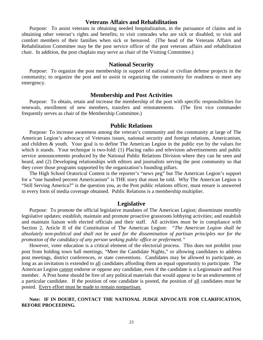## **Veterans Affairs and Rehabilitation**

Purpose: To assist veterans in obtaining needed hospitalization, in the pursuance of claims and in obtaining other veteran's rights and benefits; to visit comrades who are sick or disabled; to visit and comfort members of their families when sick or bereaved. (The head of the Veterans Affairs and Rehabilitation Committee may be the post service officer of the post veterans affairs and rehabilitation chair. In addition, the post chaplain may serve as chair of the Visiting Committee.)

## **National Security**

Purpose: To organize the post membership in support of national or civilian defense projects in the community; to organize the post and to assist in organizing the community for readiness to meet any emergency.

## **Membership and Post Activities**

Purpose: To obtain, retain and increase the membership of the post with specific responsibilities for renewals, enrollment of new members, transfers and reinstatements. (The first vice commander frequently serves as chair of the Membership Committee.)

## **Public Relations**

Purpose: To increase awareness among the veteran's community and the community at large of The American Legion's advocacy of Veterans issues, national security and foreign relations, Americanism, and children & youth. Your goal is to define The American Legion in the public eye by the values for which it stands. Your technique is two-fold: (1) Placing radio and television advertisements and public service announcements produced by the National Public Relations Division where they can be seen and heard, and (2) Developing relationships with editors and journalists serving the post community so that they cover those programs supported by the organization's founding pillars.

The High School Oratorical Contest is the reporter's "news peg" but The American Legion's support for a "one hundred percent Americanism" is THE story that must be told. Why The American Legion is "Still Serving America?" is the question you, as the Post public relations officer, must ensure is answered in every form of media coverage obtained. Public Relations is a membership multiplier.

## **Legislative**

Purpose: To promote the official legislative mandates of The American Legion; disseminate monthly legislative updates; establish, maintain and promote proactive grassroots lobbying activities; and establish and maintain liaison with elected officials and their staff. All activities must be in compliance with Section 2, Article II of the Constitution of The American Legion: *"The American Legion shall be absolutely non-political and shall not be used for the dissemination of partisan principles nor for the promotion of the candidacy of any person seeking public office or preferment."*

However, voter education is a critical element of the electorial process. This does not prohibit your post from holding town hall meetings, "Meet the Candidate Nights," or allowing candidates to address post meetings, district conferences, or state conventions. Candidates may be allowed to participate, as long as an invitation is extended to all candidates affording them an equal opportunity to participate. The American Legion cannot endorse or oppose any candidate, even if the candidate is a Legionnaire and Post member. A Post home should be free of any political materials that would appear to be an endorsement of a particular candidate. If the position of one candidate is posted, the position of all candidates must be posted. Every effort must be made to remain nonpartisan.

## **Note: IF IN DOUBT, CONTACT THE NATIONAL JUDGE ADVOCATE FOR CLARIFICATION, BEFORE PROCEEDING.**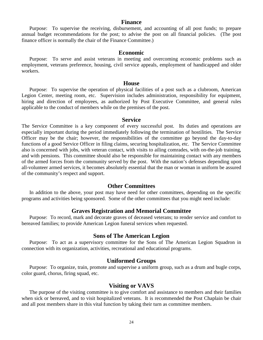## **Finance**

Purpose: To supervise the receiving, disbursement, and accounting of all post funds; to prepare annual budget recommendations for the post; to advise the post on all financial policies. (The post finance officer is normally the chair of the Finance Committee.)

## **Economic**

Purpose: To serve and assist veterans in meeting and overcoming economic problems such as employment, veterans preference, housing, civil service appeals, employment of handicapped and older workers.

## **House**

Purpose: To supervise the operation of physical facilities of a post such as a clubroom, American Legion Center, meeting room, etc. Supervision includes administration, responsibility for equipment, hiring and direction of employees, as authorized by Post Executive Committee, and general rules applicable to the conduct of members while on the premises of the post.

### **Service**

The Service Committee is a key component of every successful post. Its duties and operations are especially important during the period immediately following the termination of hostilities. The Service Officer may be the chair; however, the responsibilities of the committee go beyond the day-to-day functions of a good Service Officer in filing claims, securing hospitalization, etc. The Service Committee also is concerned with jobs, with veteran contact, with visits to ailing comrades, with on-the-job training, and with pensions. This committee should also be responsible for maintaining contact with any members of the armed forces from the community served by the post. With the nation's defenses depending upon all-volunteer armed services, it becomes absolutely essential that the man or woman in uniform be assured of the community's respect and support.

## **Other Committees**

In addition to the above, your post may have need for other committees, depending on the specific programs and activities being sponsored. Some of the other committees that you might need include:

## **Graves Registration and Memorial Committee**

Purpose: To record, mark and decorate graves of deceased veterans; to render service and comfort to bereaved families; to provide American Legion funeral services when requested.

## **Sons of The American Legion**

Purpose: To act as a supervisory committee for the Sons of The American Legion Squadron in connection with its organization, activities, recreational and educational programs.

## **Uniformed Groups**

Purpose: To organize, train, promote and supervise a uniform group, such as a drum and bugle corps, color guard, chorus, firing squad, etc.

## **Visiting or VAVS**

The purpose of the visiting committee is to give comfort and assistance to members and their families when sick or bereaved, and to visit hospitalized veterans. It is recommended the Post Chaplain be chair and all post members share in this vital function by taking their turn as committee members.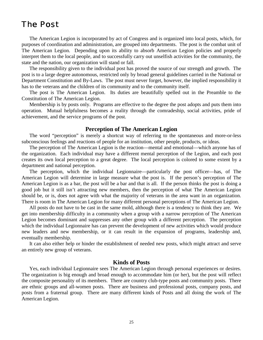# The Post

The American Legion is incorporated by act of Congress and is organized into local posts, which, for purposes of coordination and administration, are grouped into departments. The post is the combat unit of The American Legion. Depending upon its ability to absorb American Legion policies and properly interpret them to the local people, and to successfully carry out unselfish activities for the community, the state and the nation, our organization will stand or fall.

The responsibility given to the individual post has proved the source of our strength and growth. The post is to a large degree autonomous, restricted only by broad general guidelines carried in the National or Department Constitution and By-Laws. The post must never forget, however, the implied responsibility it has to the veterans and the children of its community and to the community itself.

The post is The American Legion. Its duties are beautifully spelled out in the Preamble to the Constitution of The American Legion.

Membership is by posts only. Programs are effective to the degree the post adopts and puts them into operation. Mutual helpfulness becomes a reality through the comradeship, social activities, pride of achievement, and the service programs of the post.

## **Perception of The American Legion**

The word "perception" is merely a shortcut way of referring to the spontaneous and more-or-less subconscious feelings and reactions of people for an institution, other people, products, or ideas.

The perception of The American Legion is the reaction—mental and emotional—which anyone has of the organization. Each individual may have a different mental perception of the Legion, and each post creates its own local perception to a great degree. The local perception is colored to some extent by a department and national perception.

The perception, which the individual Legionnaire—particularly the post officer—has, of The American Legion will determine in large measure what the post is. If the person's perception of The American Legion is as a bar, the post will be a bar and that is all. If the person thinks the post is doing a good job but it still isn't attracting new members, then the perception of what The American Legion should be, or is, does not agree with what the majority of veterans in the area want in an organization. There is room in The American Legion for many different personal perceptions of The American Legion.

All posts do not have to be cast in the same mold, although there is a tendency to think they are. We get into membership difficulty in a community when a group with a narrow perception of The American Legion becomes dominant and suppresses any other group with a different perception. The perception which the individual Legionnaire has can prevent the development of new activities which would produce new leaders and new membership, or it can result in the expansion of programs, leadership and, eventually membership.

It can also either help or hinder the establishment of needed new posts, which might attract and serve an entirely new group of veterans.

## **Kinds of Posts**

Yes, each individual Legionnaire sees The American Legion through personal experiences or desires. The organization is big enough and broad enough to accommodate him (or her), but the post will reflect the composite personality of its members. There are country club-type posts and community posts. There are ethnic groups and all-women posts. There are business and professional posts, company posts, and posts from a fraternal group. There are many different kinds of Posts and all doing the work of The American Legion.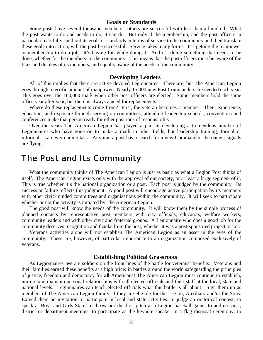## **Goals or Standards**

Some posts have several thousand members—others are successful with less than a hundred. What the post wants to do and needs to do, it can do. But only if the membership, and the post officers in particular, carefully spell out its goals or standards in terms of service to the community and then translate these goals into action, will the post be successful. Service takes many forms. It's getting the manpower or membership to do a job. It's having fun while doing it. And it's doing something that needs to be done, whether for the members or the community. This means that the post officers must be aware of the likes and dislikes of its members, and equally aware of the needs of the community.

#### **Developing Leaders**

All of this implies that there are active devoted Legionnaires. There are, but The American Legion goes through a terrific amount of manpower. Nearly 15,000 new Post Commanders are needed each year. This goes over the 100,000 mark when other post officers are elected. Some members hold the same office year after year, but there is always a need for replacements.

Where do these replacements come from? First, the veteran becomes a member. Then, experience, education, and exposure through serving on committees, attending leadership schools, conventions and conferences make that person ready for other positions of responsibility.

Over the years The American Legion has played a part in developing a tremendous number of Legionnaires who have gone on to make a mark in other fields, but leadership training, formal or informal, is a never-ending task. Anytime a post has a search for a new Commander, the danger signals are flying.

## The Post and Its Community

What the community thinks of The American Legion is just as basic as what a Legion Post thinks of itself. The American Legion exists only with the approval of our society, or at least a large segment of it. This is true whether it's the national organization or a post. Each post is judged by the community. Its success or failure reflects this judgment. A good post will encourage active participation by its members with other civic-minded committees and organizations within the community. It will seek to participate whether or not the activity is initiated by The American Legion.

The good post will know the needs of the community. It will know them by the simple process of planned contacts by representative post members with city officials, educators, welfare workers, community leaders and with other civic and fraternal groups. A Legionnaire who does a good job for the community deserves recognition and thanks from the post, whether it was a post-sponsored project or not.

Veterans activities alone will not establish The American Legion as an asset in the eyes of the community. These are, however, of particular importance to an organization composed exclusively of veterans.

#### **Establishing Political Grassroots**

As Legionnaires, **we** are soldiers on the front lines of the battle for veterans' benefits. Veterans and their families earned these benefits at a high price: in battles around the world safeguarding the principles of justice, freedom and democracy for **all** Americans! The American Legion must continue to establish, nurture and maintain personal relationships with all elected officials and their staff at the local, state and national levels. Legionnaires can teach elected officials what this battle is all about: Sign them up as members of The American Legion family, if they are eligible for the Legion, Auxiliary and/or the Sons. Extend them an invitation to participate in local and state activities: to judge an oratorical contest; to speak at Boys and Girls State; to throw our the first pitch at a Legion baseball game; to address post, district or department meetings; to participate as the keynote speaker in a flag disposal ceremony; to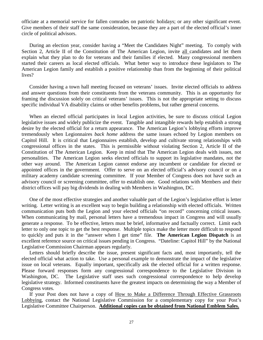officiate at a memorial service for fallen comrades on patriotic holidays; or any other significant event. Give members of their staff the same consideration, because they are a part of the elected official's inner circle of political advisors.

During an election year, consider having a "Meet the Candidates Night" meeting. To comply with Section 2, Article II of the Constitution of The American Legion, invite all candidates and let them explain what they plan to do for veterans and their families if elected. Many congressional members started their careers as local elected officials. What better way to introduce these legislators to The American Legion family and establish a positive relationship than from the beginning of their political lives?

Consider having a town hall meeting focused on veterans' issues. Invite elected officials to address and answer questions from their constituents from the veterans community. This is an opportunity for framing the discussion solely on critical veterans' issues. This is not the appropriate setting to discuss specific individual VA disability claims or other benefits problems, but rather general concerns.

When an elected official participates in local Legion activities, be sure to discuss critical Legion legislative issues and widely publicize the event. Tangible and intangible rewards help establish a strong desire by the elected official for a return appearance. The American Legion's lobbying efforts improve tremendously when Legionnaires *back home* address the same issues echoed by Legion members on Capitol Hill. It is critical that Legionnaires establish, develop and cultivate strong relationships with congressional offices in the states. This is permissible without violating Section 2, Article II of the Constitution of The American Legion. Keep in mind that The American Legion deals with issues, not personalities. The American Legion seeks elected officials to support its legislative mandates, not the other way around. The American Legion cannot endorse any incumbent or candidate for elected or appointed offices in the government. Offer to serve on an elected official's advisory council or on a military academy candidate screening committee. If your Member of Congress does not have such an advisory council or screening committee, offer to establish one. Good relations with Members and their district offices will pay big dividends in dealing with Members in Washington, DC.

One of the most effective strategies and another valuable part of the Legion's legislative effort is letter writing. Letter writing is an excellent way to begin building a relationship with elected officials. Written communication puts both the Legion and your elected officials "on record" concerning critical issues. When communicating by mail, personal letters have a tremendous impact in Congress and will usually generate a response. To be effective, letters must be brief, informative and factually correct. Limit each letter to only one topic to get the best response. Multiple topics make the letter more difficult to respond to quickly and puts it in the "answer when I get time" file. **The American Legion Dispatch** is an excellent reference source on critical issues pending in Congress. "Dateline: Capitol Hill" by the National Legislative Commission Chairman appears regularly.

Letters should briefly describe the issue, present significant facts and, most importantly, tell the elected official what action to take. Use a personal example to demonstrate the impact of the legislative issue on local veterans. Equally important, specifically ask the elected official for a written response. Please forward responses form any congressional correspondence to the Legislative Division in Washington, DC. The Legislative staff uses such congressional correspondence to help develop legislative strategy. Informed constituents have the greatest impacts on determining the way a Member of Congress votes.

If your Post does not have a copy of How to Make a Difference Through Effective Grassroots Lobbying, contact the National Legislative Commission for a complementary copy for your Post's Legislative Committee Chairperson. **Additional copies can be obtained from National Emblem Sales.**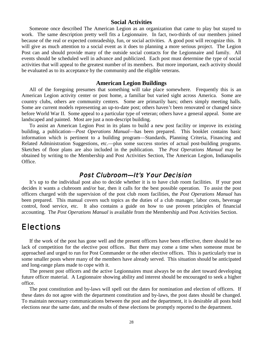## **Social Activities**

Someone once described The American Legion as an organization that came to play but stayed to work. The same description pretty well fits a Legionnaire. In fact, two-thirds of our members joined because of the real or expected comradeship, fun, or social activities. A good post will recognize this. It will give as much attention to a social event as it does to planning a more serious project. The Legion Post can and should provide many of the outside social contacts for the Legionnaire and family. All events should be scheduled well in advance and publicized. Each post must determine the type of social activities that will appeal to the greatest number of its members. But more important, each activity should be evaluated as to its acceptance by the community and the eligible veterans.

#### **American Legion Buildings**

All of the foregoing presumes that something will take place somewhere. Frequently this is an American Legion activity center or post home, a familiar but varied sight across America. Some are country clubs, others are community centers. Some are primarily bars; others simply meeting halls. Some are current models representing an up-to-date post; others haven't been renovated or changed since before World War II. Some appeal to a particular type of veteran; others have a general appeal. Some are landscaped and painted. Most are just a non-descript building.

To assist an American Legion Post in its plans to build a new post facility or improve its existing building, a publication—*Post Operations Manual*—has been prepared. This booklet contains basic information which is pertinent to a building program—Standards, Planning Criteria, Financing and Related Administration Suggestions, etc.—plus some success stories of actual post-building programs. Sketches of floor plans are also included in the publication. The *Post Operations Manual* may be obtained by writing to the Membership and Post Activities Section, The American Legion, Indianapolis Office.

## Post Clubroom—It's Your Decision

It's up to the individual post also to decide whether it is to have club room facilities. If your post decides it wants a clubroom and/or bar, then it calls for the best possible operation. To assist the post officers charged with the supervision of the post club room facilities, the *Post Operations Manual* has been prepared. This manual covers such topics as the duties of a club manager, labor costs, beverage control, food service, etc. It also contains a guide on how to use proven principles of financial accounting. The *Post Operations Manual* is available from the Membership and Post Activities Section.

## **Elections**

If the work of the post has gone well and the present officers have been effective, there should be no lack of competition for the elective post offices. But there may come a time when someone must be approached and urged to run for Post Commander or the other elective offices. This is particularly true in some smaller posts where many of the members have already served. This situation should be anticipated and long-range plans made to cope with it.

The present post officers and the active Legionnaires must always be on the alert toward developing future officer material. A Legionnaire showing ability and interest should be encouraged to seek a higher office.

The post constitution and by-laws will spell out the dates for nomination and election of officers. If these dates do not agree with the department constitution and by-laws, the post dates should be changed. To maintain necessary communications between the post and the department, it is desirable all posts hold elections near the same date, and the results of these elections be promptly reported to the department.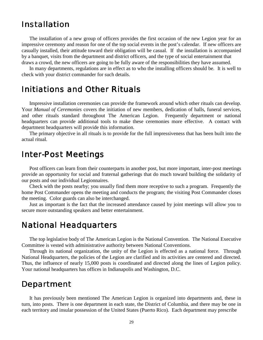# Installation

The installation of a new group of officers provides the first occasion of the new Legion year for an impressive ceremony and reason for one of the top social events in the post's calendar. If new officers are casually installed, their attitude toward their obligation will be casual. If the installation is accompanied by a banquet, visits from the department and district officers, and the type of social entertainment that draws a crowd, the new officers are going to be fully aware of the responsibilities they have assumed.

In many departments, regulations are in effect as to who the installing officers should be. It is well to check with your district commander for such details.

## Initiations and Other Rituals

Impressive installation ceremonies can provide the framework around which other rituals can develop. Your *Manual of Ceremonies* covers the initiation of new members, dedication of halls, funeral services, and other rituals standard throughout The American Legion. Frequently department or national headquarters can provide additional tools to make these ceremonies more effective. A contact with department headquarters will provide this information.

The primary objective in all rituals is to provide for the full impressiveness that has been built into the actual ritual.

# Inter-Post Meetings

Post officers can learn from their counterparts in another post, but more important, inter-post meetings provide an opportunity for social and fraternal gatherings that do much toward building the solidarity of our posts and our individual Legionnaires.

Check with the posts nearby; you usually find them more receptive to such a program. Frequently the home Post Commander opens the meeting and conducts the program; the visiting Post Commander closes the meeting. Color guards can also be interchanged.

Just as important is the fact that the increased attendance caused by joint meetings will allow you to secure more outstanding speakers and better entertainment.

# National Headquarters

The top legislative body of The American Legion is the National Convention. The National Executive Committee is vested with administrative authority between National Conventions.

Through its national organization, the unity of the Legion is effected as a national force. Through National Headquarters, the policies of the Legion are clarified and its activities are centered and directed. Thus, the influence of nearly 15,000 posts is coordinated and directed along the lines of Legion policy. Your national headquarters has offices in Indianapolis and Washington, D.C.

# Department

It has previously been mentioned The American Legion is organized into departments and, these in turn, into posts. There is one department in each state, the District of Columbia, and there may be one in each territory and insular possession of the United States (Puerto Rico). Each department may prescribe